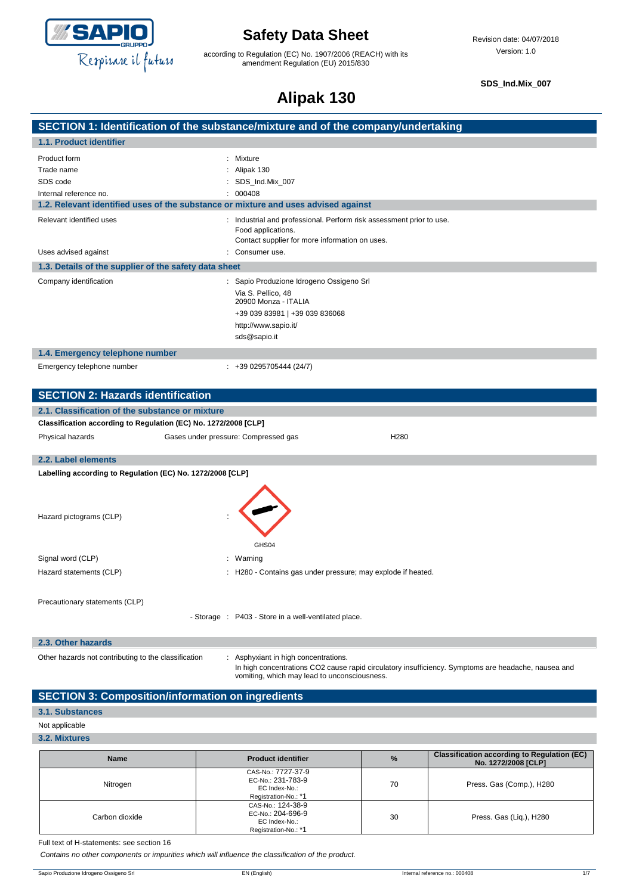

according to Regulation (EC) No. 1907/2006 (REACH) with its amendment Regulation (EU) 2015/830

**SDS\_Ind.Mix\_007**

# **Alipak 130**

|                                                                                    | SECTION 1: Identification of the substance/mixture and of the company/undertaking                                                                   |
|------------------------------------------------------------------------------------|-----------------------------------------------------------------------------------------------------------------------------------------------------|
| 1.1. Product identifier                                                            |                                                                                                                                                     |
| Product form                                                                       | : Mixture                                                                                                                                           |
| Trade name                                                                         | Alipak 130                                                                                                                                          |
| SDS code                                                                           | SDS_Ind.Mix_007                                                                                                                                     |
| Internal reference no.                                                             | : 000408                                                                                                                                            |
| 1.2. Relevant identified uses of the substance or mixture and uses advised against |                                                                                                                                                     |
| Relevant identified uses                                                           | : Industrial and professional. Perform risk assessment prior to use.<br>Food applications.<br>Contact supplier for more information on uses.        |
| Uses advised against                                                               | : Consumer use.                                                                                                                                     |
| 1.3. Details of the supplier of the safety data sheet                              |                                                                                                                                                     |
| Company identification                                                             | : Sapio Produzione Idrogeno Ossigeno Srl                                                                                                            |
|                                                                                    | Via S. Pellico, 48<br>20900 Monza - ITALIA                                                                                                          |
|                                                                                    | +39 039 83981   +39 039 836068                                                                                                                      |
|                                                                                    | http://www.sapio.it/                                                                                                                                |
|                                                                                    | sds@sapio.it                                                                                                                                        |
| 1.4. Emergency telephone number                                                    |                                                                                                                                                     |
| Emergency telephone number                                                         | $: +390295705444(24/7)$                                                                                                                             |
|                                                                                    |                                                                                                                                                     |
| <b>SECTION 2: Hazards identification</b>                                           |                                                                                                                                                     |
| 2.1. Classification of the substance or mixture                                    |                                                                                                                                                     |
| Classification according to Regulation (EC) No. 1272/2008 [CLP]                    |                                                                                                                                                     |
| Physical hazards                                                                   | Gases under pressure: Compressed gas<br>H <sub>280</sub>                                                                                            |
| 2.2. Label elements                                                                |                                                                                                                                                     |
| Labelling according to Regulation (EC) No. 1272/2008 [CLP]                         |                                                                                                                                                     |
| Hazard pictograms (CLP)                                                            |                                                                                                                                                     |
|                                                                                    | GHS04                                                                                                                                               |
| Signal word (CLP)                                                                  | : Warning                                                                                                                                           |
| Hazard statements (CLP)                                                            | : H280 - Contains gas under pressure; may explode if heated.                                                                                        |
| Precautionary statements (CLP)                                                     |                                                                                                                                                     |
|                                                                                    | - Storage : P403 - Store in a well-ventilated place.                                                                                                |
|                                                                                    |                                                                                                                                                     |
| 2.3. Other hazards                                                                 |                                                                                                                                                     |
| Other hazards not contributing to the classification                               | : Asphyxiant in high concentrations.                                                                                                                |
|                                                                                    | In high concentrations CO2 cause rapid circulatory insufficiency. Symptoms are headache, nausea and<br>vomiting, which may lead to unconsciousness. |

### **SECTION 3: Composition/information on ingredients**

#### **3.1. Substances**

### Not applicable

### **3.2. Mixtures**

| <b>Name</b>    | <b>Product identifier</b>                                                        | $\%$ | <b>Classification according to Regulation (EC)</b><br>No. 1272/2008 [CLP] |
|----------------|----------------------------------------------------------------------------------|------|---------------------------------------------------------------------------|
| Nitrogen       | CAS-No.: 7727-37-9<br>EC-No.: 231-783-9<br>EC Index-No.:<br>Registration-No.: *1 | 70   | Press. Gas (Comp.), H280                                                  |
| Carbon dioxide | CAS-No.: 124-38-9<br>EC-No.: 204-696-9<br>EC Index-No.:<br>Registration-No.: *1  | 30   | Press. Gas (Liq.), H280                                                   |

Full text of H-statements: see section 16

*Contains no other components or impurities which will influence the classification of the product.*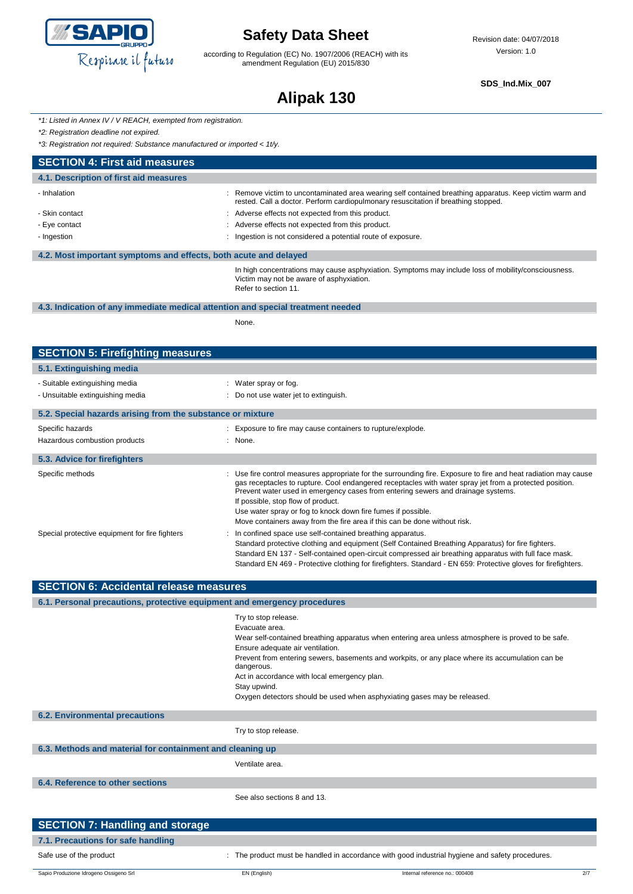

according to Regulation (EC) No. 1907/2006 (REACH) with its amendment Regulation (EU) 2015/830

**SDS\_Ind.Mix\_007**

# **Alipak 130**

*\*1: Listed in Annex IV / V REACH, exempted from registration.*

*\*2: Registration deadline not expired.*

*\*3: Registration not required: Substance manufactured or imported < 1t/y.*

| <b>SECTION 4: First aid measures</b>                             |                                                                                                                                                                                             |  |
|------------------------------------------------------------------|---------------------------------------------------------------------------------------------------------------------------------------------------------------------------------------------|--|
| 4.1. Description of first aid measures                           |                                                                                                                                                                                             |  |
| - Inhalation                                                     | Remove victim to uncontaminated area wearing self contained breathing apparatus. Keep victim warm and<br>rested. Call a doctor. Perform cardiopulmonary resuscitation if breathing stopped. |  |
| - Skin contact                                                   | : Adverse effects not expected from this product.                                                                                                                                           |  |
| - Eye contact                                                    | : Adverse effects not expected from this product.                                                                                                                                           |  |
| - Ingestion                                                      | Ingestion is not considered a potential route of exposure.                                                                                                                                  |  |
| 4.2. Most important symptoms and effects, both acute and delayed |                                                                                                                                                                                             |  |
|                                                                  | In high concentrations may cause asphyxiation. Symptoms may include loss of mobility/consciousness.<br>Victim may not be aware of asphyxiation.<br>Refer to section 11.                     |  |

### **4.3. Indication of any immediate medical attention and special treatment needed**

None.

| <b>SECTION 5: Firefighting measures</b>                            |                                                                                                                                                                                                                                                                                                                                                                                                                                                                                                   |
|--------------------------------------------------------------------|---------------------------------------------------------------------------------------------------------------------------------------------------------------------------------------------------------------------------------------------------------------------------------------------------------------------------------------------------------------------------------------------------------------------------------------------------------------------------------------------------|
| 5.1. Extinguishing media                                           |                                                                                                                                                                                                                                                                                                                                                                                                                                                                                                   |
| - Suitable extinguishing media<br>- Unsuitable extinguishing media | : Water spray or fog.<br>: Do not use water jet to extinguish.                                                                                                                                                                                                                                                                                                                                                                                                                                    |
| 5.2. Special hazards arising from the substance or mixture         |                                                                                                                                                                                                                                                                                                                                                                                                                                                                                                   |
| Specific hazards<br>Hazardous combustion products                  | : Exposure to fire may cause containers to rupture/explode.<br>$:$ None.                                                                                                                                                                                                                                                                                                                                                                                                                          |
| 5.3. Advice for firefighters                                       |                                                                                                                                                                                                                                                                                                                                                                                                                                                                                                   |
| Specific methods                                                   | : Use fire control measures appropriate for the surrounding fire. Exposure to fire and heat radiation may cause<br>gas receptacles to rupture. Cool endangered receptacles with water spray jet from a protected position.<br>Prevent water used in emergency cases from entering sewers and drainage systems.<br>If possible, stop flow of product.<br>Use water spray or fog to knock down fire fumes if possible.<br>Move containers away from the fire area if this can be done without risk. |
| Special protective equipment for fire fighters                     | : In confined space use self-contained breathing apparatus.<br>Standard protective clothing and equipment (Self Contained Breathing Apparatus) for fire fighters.<br>Standard EN 137 - Self-contained open-circuit compressed air breathing apparatus with full face mask.<br>Standard EN 469 - Protective clothing for firefighters. Standard - EN 659: Protective gloves for firefighters.                                                                                                      |

| <b>SECTION 6: Accidental release measures</b>                            |                                                                                                                                                                                                                                                                                                                                                                                                                                                |  |  |
|--------------------------------------------------------------------------|------------------------------------------------------------------------------------------------------------------------------------------------------------------------------------------------------------------------------------------------------------------------------------------------------------------------------------------------------------------------------------------------------------------------------------------------|--|--|
| 6.1. Personal precautions, protective equipment and emergency procedures |                                                                                                                                                                                                                                                                                                                                                                                                                                                |  |  |
|                                                                          | Try to stop release.<br>Evacuate area.<br>Wear self-contained breathing apparatus when entering area unless atmosphere is proved to be safe.<br>Ensure adequate air ventilation.<br>Prevent from entering sewers, basements and workpits, or any place where its accumulation can be<br>dangerous.<br>Act in accordance with local emergency plan.<br>Stay upwind.<br>Oxygen detectors should be used when asphyxiating gases may be released. |  |  |
| <b>6.2. Environmental precautions</b>                                    |                                                                                                                                                                                                                                                                                                                                                                                                                                                |  |  |
|                                                                          | Try to stop release.                                                                                                                                                                                                                                                                                                                                                                                                                           |  |  |
| 6.3. Methods and material for containment and cleaning up                |                                                                                                                                                                                                                                                                                                                                                                                                                                                |  |  |
|                                                                          | Ventilate area.                                                                                                                                                                                                                                                                                                                                                                                                                                |  |  |
| 6.4. Reference to other sections                                         |                                                                                                                                                                                                                                                                                                                                                                                                                                                |  |  |
|                                                                          | See also sections 8 and 13.                                                                                                                                                                                                                                                                                                                                                                                                                    |  |  |
| <b>SECTION 7: Handling and storage</b>                                   |                                                                                                                                                                                                                                                                                                                                                                                                                                                |  |  |
| 7.1. Precautions for safe handling                                       |                                                                                                                                                                                                                                                                                                                                                                                                                                                |  |  |

Safe use of the product state of the product must be handled in accordance with good industrial hygiene and safety procedures.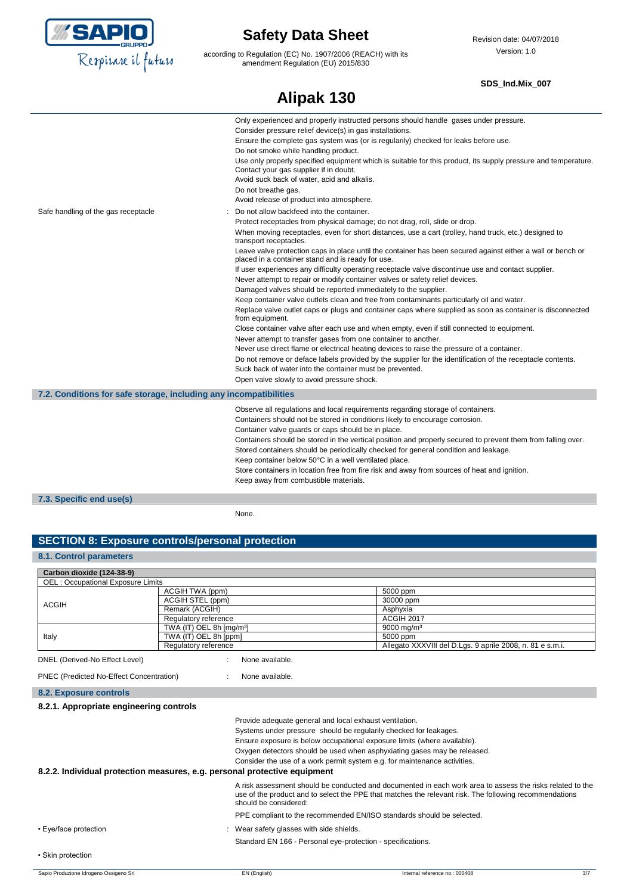

according to Regulation (EC) No. 1907/2006 (REACH) with its amendment Regulation (EU) 2015/830

#### **SDS\_Ind.Mix\_007**

|                                                                |                                                                   | Alipak 130                                                                                                                                                                                                                                                                                                                                                                                                                                                                                                                                                                                                                                                                                                                                                                                                                                                                                                                                                                                                 |
|----------------------------------------------------------------|-------------------------------------------------------------------|------------------------------------------------------------------------------------------------------------------------------------------------------------------------------------------------------------------------------------------------------------------------------------------------------------------------------------------------------------------------------------------------------------------------------------------------------------------------------------------------------------------------------------------------------------------------------------------------------------------------------------------------------------------------------------------------------------------------------------------------------------------------------------------------------------------------------------------------------------------------------------------------------------------------------------------------------------------------------------------------------------|
|                                                                | Do not breathe gas.                                               | Only experienced and properly instructed persons should handle gases under pressure.<br>Consider pressure relief device(s) in gas installations.<br>Ensure the complete gas system was (or is regularily) checked for leaks before use.<br>Do not smoke while handling product.<br>Use only properly specified equipment which is suitable for this product, its supply pressure and temperature.<br>Contact your gas supplier if in doubt.<br>Avoid suck back of water, acid and alkalis.<br>Avoid release of product into atmosphere.                                                                                                                                                                                                                                                                                                                                                                                                                                                                    |
| Safe handling of the gas receptacle                            | transport receptacles.                                            | Do not allow backfeed into the container.<br>Protect receptacles from physical damage; do not drag, roll, slide or drop.<br>When moving receptacles, even for short distances, use a cart (trolley, hand truck, etc.) designed to<br>Leave valve protection caps in place until the container has been secured against either a wall or bench or                                                                                                                                                                                                                                                                                                                                                                                                                                                                                                                                                                                                                                                           |
|                                                                | from equipment.                                                   | placed in a container stand and is ready for use.<br>If user experiences any difficulty operating receptacle valve discontinue use and contact supplier.<br>Never attempt to repair or modify container valves or safety relief devices.<br>Damaged valves should be reported immediately to the supplier.<br>Keep container valve outlets clean and free from contaminants particularly oil and water.<br>Replace valve outlet caps or plugs and container caps where supplied as soon as container is disconnected<br>Close container valve after each use and when empty, even if still connected to equipment.<br>Never attempt to transfer gases from one container to another.<br>Never use direct flame or electrical heating devices to raise the pressure of a container.<br>Do not remove or deface labels provided by the supplier for the identification of the receptacle contents.<br>Suck back of water into the container must be prevented.<br>Open valve slowly to avoid pressure shock. |
|                                                                | 7.2. Conditions for safe storage, including any incompatibilities |                                                                                                                                                                                                                                                                                                                                                                                                                                                                                                                                                                                                                                                                                                                                                                                                                                                                                                                                                                                                            |
|                                                                |                                                                   | Observe all regulations and local requirements regarding storage of containers.<br>Containers should not be stored in conditions likely to encourage corrosion.<br>Container valve guards or caps should be in place.<br>Containers should be stored in the vertical position and properly secured to prevent them from falling over.<br>Stored containers should be periodically checked for general condition and leakage.<br>Keep container below 50°C in a well ventilated place.<br>Store containers in location free from fire risk and away from sources of heat and ignition.<br>Keep away from combustible materials.                                                                                                                                                                                                                                                                                                                                                                             |
| 7.3. Specific end use(s)                                       |                                                                   |                                                                                                                                                                                                                                                                                                                                                                                                                                                                                                                                                                                                                                                                                                                                                                                                                                                                                                                                                                                                            |
|                                                                | None.                                                             |                                                                                                                                                                                                                                                                                                                                                                                                                                                                                                                                                                                                                                                                                                                                                                                                                                                                                                                                                                                                            |
|                                                                | <b>SECTION 8: Exposure controls/personal protection</b>           |                                                                                                                                                                                                                                                                                                                                                                                                                                                                                                                                                                                                                                                                                                                                                                                                                                                                                                                                                                                                            |
| 8.1. Control parameters                                        |                                                                   |                                                                                                                                                                                                                                                                                                                                                                                                                                                                                                                                                                                                                                                                                                                                                                                                                                                                                                                                                                                                            |
| Carbon dioxide (124-38-9)<br>OEL: Occupational Exposure Limits |                                                                   |                                                                                                                                                                                                                                                                                                                                                                                                                                                                                                                                                                                                                                                                                                                                                                                                                                                                                                                                                                                                            |
|                                                                | ACGIH TWA (ppm)                                                   | 5000 ppm                                                                                                                                                                                                                                                                                                                                                                                                                                                                                                                                                                                                                                                                                                                                                                                                                                                                                                                                                                                                   |
| <b>ACGIH</b>                                                   | ACGIH STEL (ppm)                                                  | 30000 ppm                                                                                                                                                                                                                                                                                                                                                                                                                                                                                                                                                                                                                                                                                                                                                                                                                                                                                                                                                                                                  |

|                                                                           | ACGIH TWA (ppm)                      | 5000 ppm                                                                                                                                                                                                                                                                                                                                                          |
|---------------------------------------------------------------------------|--------------------------------------|-------------------------------------------------------------------------------------------------------------------------------------------------------------------------------------------------------------------------------------------------------------------------------------------------------------------------------------------------------------------|
| <b>ACGIH</b>                                                              | ACGIH STEL (ppm)                     | 30000 ppm                                                                                                                                                                                                                                                                                                                                                         |
|                                                                           | Remark (ACGIH)                       | Asphyxia                                                                                                                                                                                                                                                                                                                                                          |
|                                                                           | Regulatory reference                 | <b>ACGIH 2017</b>                                                                                                                                                                                                                                                                                                                                                 |
|                                                                           | TWA (IT) OEL 8h [mg/m <sup>3</sup> ] | 9000 mg/m <sup>3</sup>                                                                                                                                                                                                                                                                                                                                            |
| Italy                                                                     | TWA (IT) OEL 8h [ppm]                | 5000 ppm                                                                                                                                                                                                                                                                                                                                                          |
|                                                                           | Regulatory reference                 | Allegato XXXVIII del D.Lgs. 9 aprile 2008, n. 81 e s.m.i.                                                                                                                                                                                                                                                                                                         |
| DNEL (Derived-No Effect Level)                                            |                                      | None available.                                                                                                                                                                                                                                                                                                                                                   |
| PNEC (Predicted No-Effect Concentration)                                  |                                      | None available.                                                                                                                                                                                                                                                                                                                                                   |
| <b>8.2. Exposure controls</b>                                             |                                      |                                                                                                                                                                                                                                                                                                                                                                   |
| 8.2.1. Appropriate engineering controls                                   |                                      |                                                                                                                                                                                                                                                                                                                                                                   |
| 8.2.2. Individual protection measures, e.g. personal protective equipment |                                      | Provide adequate general and local exhaust ventilation.<br>Systems under pressure should be regularily checked for leakages.<br>Ensure exposure is below occupational exposure limits (where available).<br>Oxygen detectors should be used when asphyxiating gases may be released.<br>Consider the use of a work permit system e.g. for maintenance activities. |
|                                                                           |                                      | A risk assessment should be conducted and documented in each work area to assess the risks related to the<br>use of the product and to select the PPE that matches the relevant risk. The following recommendations<br>should be considered:                                                                                                                      |
|                                                                           |                                      | PPE compliant to the recommended EN/ISO standards should be selected.                                                                                                                                                                                                                                                                                             |
| • Eye/face protection                                                     |                                      | Wear safety glasses with side shields.                                                                                                                                                                                                                                                                                                                            |
|                                                                           |                                      | Standard EN 166 - Personal eye-protection - specifications.                                                                                                                                                                                                                                                                                                       |
| • Skin protection                                                         |                                      |                                                                                                                                                                                                                                                                                                                                                                   |
| Sapio Produzione Idrogeno Ossigeno Srl                                    | EN (English)                         | 3/7<br>Internal reference no.: 000408                                                                                                                                                                                                                                                                                                                             |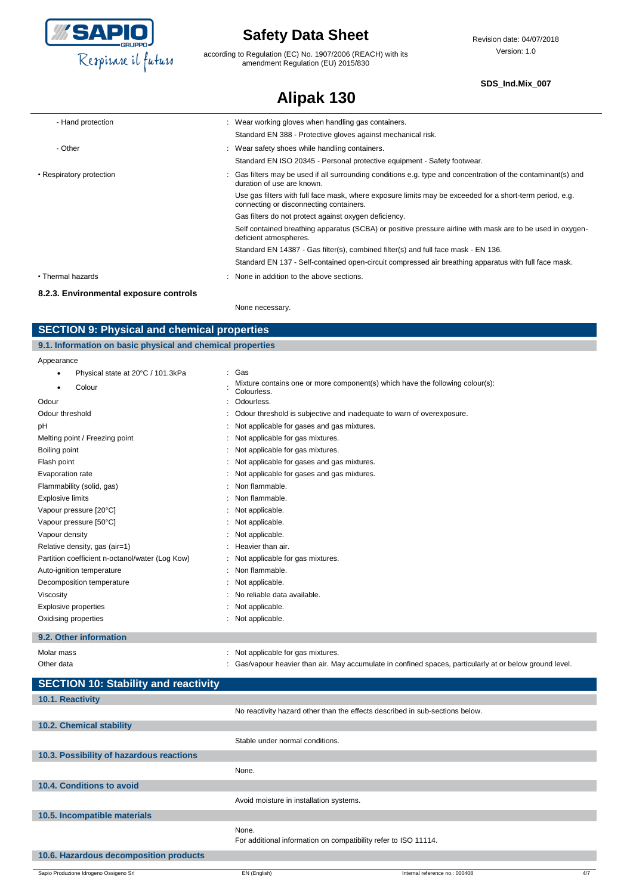

according to Regulation (EC) No. 1907/2006 (REACH) with its amendment Regulation (EU) 2015/830

#### **SDS\_Ind.Mix\_007**

# **Alipak 130**

| - Hand protection                      | : Wear working gloves when handling gas containers.                                                                                                 |
|----------------------------------------|-----------------------------------------------------------------------------------------------------------------------------------------------------|
|                                        | Standard EN 388 - Protective gloves against mechanical risk.                                                                                        |
| - Other                                | : Wear safety shoes while handling containers.                                                                                                      |
|                                        | Standard EN ISO 20345 - Personal protective equipment - Safety footwear.                                                                            |
| • Respiratory protection               | Gas filters may be used if all surrounding conditions e.g. type and concentration of the contaminant(s) and<br>duration of use are known.           |
|                                        | Use gas filters with full face mask, where exposure limits may be exceeded for a short-term period, e.g.<br>connecting or disconnecting containers. |
|                                        | Gas filters do not protect against oxygen deficiency.                                                                                               |
|                                        | Self contained breathing apparatus (SCBA) or positive pressure airline with mask are to be used in oxygen-<br>deficient atmospheres.                |
|                                        | Standard EN 14387 - Gas filter(s), combined filter(s) and full face mask - EN 136.                                                                  |
|                                        | Standard EN 137 - Self-contained open-circuit compressed air breathing apparatus with full face mask.                                               |
| • Thermal hazards                      | None in addition to the above sections.                                                                                                             |
| 8.2.3. Environmental exposure controls |                                                                                                                                                     |
|                                        |                                                                                                                                                     |

None necessary.

: Not applicable.

| <b>SECTION 9: Physical and chemical properties</b>         |   |                                                                                              |  |
|------------------------------------------------------------|---|----------------------------------------------------------------------------------------------|--|
| 9.1. Information on basic physical and chemical properties |   |                                                                                              |  |
| Appearance                                                 |   |                                                                                              |  |
| Physical state at 20°C / 101.3kPa                          |   | Gas                                                                                          |  |
| Colour                                                     |   | Mixture contains one or more component(s) which have the following colour(s):<br>Colourless. |  |
| Odour                                                      |   | Odourless.                                                                                   |  |
| Odour threshold                                            | ÷ | Odour threshold is subjective and inadequate to warn of overexposure.                        |  |
| pH                                                         |   | Not applicable for gases and gas mixtures.                                                   |  |
| Melting point / Freezing point                             |   | Not applicable for gas mixtures.                                                             |  |
| Boiling point                                              |   | Not applicable for gas mixtures.                                                             |  |
| Flash point                                                |   | Not applicable for gases and gas mixtures.                                                   |  |
| Evaporation rate                                           |   | Not applicable for gases and gas mixtures.                                                   |  |

| <b>Oxidising properties</b> |  |
|-----------------------------|--|
|                             |  |

#### **9.2. Other information**

| Molar mass | Not applicable for gas mixtures.                                                                         |
|------------|----------------------------------------------------------------------------------------------------------|
| Other data | . Gas/vapour heavier than air. May accumulate in confined spaces, particularly at or below ground level. |

Flammability (solid, gas)  $\blacksquare$  : Non flammable. Explosive limits **Explosive limits Explosive limits Explosive limits Explosive limits Explosive limits EXPLOSIVE 2018** Vapour pressure [20°C]  $\blacksquare$  : Not applicable. Vapour pressure [50°C]  $\blacksquare$  : Not applicable. Vapour density **in the case of the case of the case of the case of the case of the case of the case of the case of the case of the case of the case of the case of the case of the case of the case of the case of the case of** Relative density, gas (air=1) : Heavier than air.

Auto-ignition temperature **intervalsed** and the set of the set of the set of the set of the set of the set of the set of the set of the set of the set of the set of the set of the set of the set of the set of the set of th Decomposition temperature **intervalse and the composition temperature** : Not applicable.

Explosive properties  $\qquad \qquad : \quad \text{Not applicable}.$ 

Partition coefficient n-octanol/water (Log Kow) : Not applicable for gas mixtures.

Viscosity : No reliable data available.

| <b>SECTION 10: Stability and reactivity</b> |                                                                              |                                |     |
|---------------------------------------------|------------------------------------------------------------------------------|--------------------------------|-----|
| 10.1. Reactivity                            |                                                                              |                                |     |
|                                             | No reactivity hazard other than the effects described in sub-sections below. |                                |     |
| 10.2. Chemical stability                    |                                                                              |                                |     |
|                                             | Stable under normal conditions.                                              |                                |     |
| 10.3. Possibility of hazardous reactions    |                                                                              |                                |     |
|                                             | None.                                                                        |                                |     |
| 10.4. Conditions to avoid                   |                                                                              |                                |     |
|                                             | Avoid moisture in installation systems.                                      |                                |     |
| 10.5. Incompatible materials                |                                                                              |                                |     |
|                                             | None.<br>For additional information on compatibility refer to ISO 11114.     |                                |     |
| 10.6. Hazardous decomposition products      |                                                                              |                                |     |
|                                             |                                                                              | Internal reference no.: 000408 | 4/7 |
| Sapio Produzione Idrogeno Ossigeno Srl      | EN (English)                                                                 |                                |     |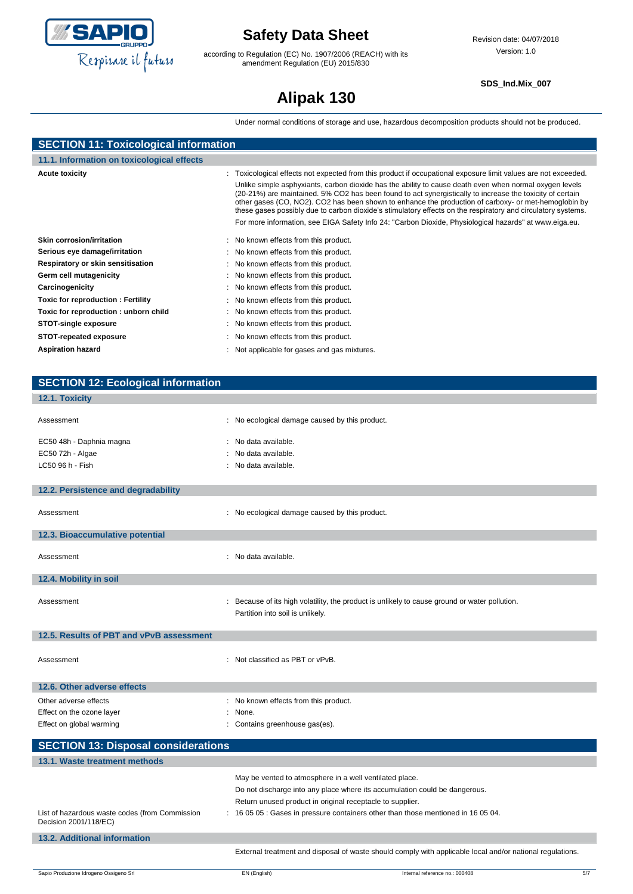

according to Regulation (EC) No. 1907/2006 (REACH) with its amendment Regulation (EU) 2015/830

**SDS\_Ind.Mix\_007**

# **Alipak 130**

Under normal conditions of storage and use, hazardous decomposition products should not be produced.

| <b>SECTION 11: Toxicological information</b> |                                                                                                                                                                                                                                                                                                                                                                                                                                              |
|----------------------------------------------|----------------------------------------------------------------------------------------------------------------------------------------------------------------------------------------------------------------------------------------------------------------------------------------------------------------------------------------------------------------------------------------------------------------------------------------------|
| 11.1. Information on toxicological effects   |                                                                                                                                                                                                                                                                                                                                                                                                                                              |
| <b>Acute toxicity</b>                        | Toxicological effects not expected from this product if occupational exposure limit values are not exceeded.                                                                                                                                                                                                                                                                                                                                 |
|                                              | Unlike simple asphyxiants, carbon dioxide has the ability to cause death even when normal oxygen levels<br>(20-21%) are maintained. 5% CO2 has been found to act synergistically to increase the toxicity of certain<br>other gases (CO, NO2). CO2 has been shown to enhance the production of carboxy- or met-hemoglobin by<br>these gases possibly due to carbon dioxide's stimulatory effects on the respiratory and circulatory systems. |
|                                              | For more information, see EIGA Safety Info 24: "Carbon Dioxide, Physiological hazards" at www.eiga.eu.                                                                                                                                                                                                                                                                                                                                       |
| <b>Skin corrosion/irritation</b>             | No known effects from this product.                                                                                                                                                                                                                                                                                                                                                                                                          |
| Serious eye damage/irritation                | No known effects from this product.                                                                                                                                                                                                                                                                                                                                                                                                          |
| Respiratory or skin sensitisation            | No known effects from this product.                                                                                                                                                                                                                                                                                                                                                                                                          |
| Germ cell mutagenicity                       | No known effects from this product.                                                                                                                                                                                                                                                                                                                                                                                                          |
| Carcinogenicity                              | No known effects from this product.                                                                                                                                                                                                                                                                                                                                                                                                          |
| Toxic for reproduction: Fertility            | No known effects from this product.                                                                                                                                                                                                                                                                                                                                                                                                          |
| Toxic for reproduction: unborn child         | No known effects from this product.                                                                                                                                                                                                                                                                                                                                                                                                          |
| <b>STOT-single exposure</b>                  | No known effects from this product.                                                                                                                                                                                                                                                                                                                                                                                                          |
| <b>STOT-repeated exposure</b>                | No known effects from this product.                                                                                                                                                                                                                                                                                                                                                                                                          |
| <b>Aspiration hazard</b>                     | Not applicable for gases and gas mixtures.                                                                                                                                                                                                                                                                                                                                                                                                   |
|                                              |                                                                                                                                                                                                                                                                                                                                                                                                                                              |
|                                              |                                                                                                                                                                                                                                                                                                                                                                                                                                              |
| <b>SECTION 12: Ecological information</b>    |                                                                                                                                                                                                                                                                                                                                                                                                                                              |
| 12.1. Toxicity                               |                                                                                                                                                                                                                                                                                                                                                                                                                                              |
| Assessment                                   | No ecological damage caused by this product.                                                                                                                                                                                                                                                                                                                                                                                                 |
| EC50 48h - Daphnia magna                     | No data available.                                                                                                                                                                                                                                                                                                                                                                                                                           |
| EC50 72h - Algae                             | No data available.                                                                                                                                                                                                                                                                                                                                                                                                                           |
| LC50 96 h - Fish                             | No data available.                                                                                                                                                                                                                                                                                                                                                                                                                           |
|                                              |                                                                                                                                                                                                                                                                                                                                                                                                                                              |
| 12.2. Persistence and degradability          |                                                                                                                                                                                                                                                                                                                                                                                                                                              |
|                                              |                                                                                                                                                                                                                                                                                                                                                                                                                                              |
| Assessment                                   | : No ecological damage caused by this product.                                                                                                                                                                                                                                                                                                                                                                                               |
|                                              |                                                                                                                                                                                                                                                                                                                                                                                                                                              |
| 12.3. Bioaccumulative potential              |                                                                                                                                                                                                                                                                                                                                                                                                                                              |
| Assessment                                   | : No data available.                                                                                                                                                                                                                                                                                                                                                                                                                         |
|                                              |                                                                                                                                                                                                                                                                                                                                                                                                                                              |
| 12.4. Mobility in soil                       |                                                                                                                                                                                                                                                                                                                                                                                                                                              |

Effect on the ozone layer in the same state of the state of the state of the state of the state of the state of the state of the state of the state of the state of the state of the state of the state of the state of the st Effect on global warming **interest on the contains greenhouse gas(es)**. **SECTION 13: Disposal considerations 13.1. Waste treatment methods** May be vented to atmosphere in a well ventilated place. Do not discharge into any place where its accumulation could be dangerous. Return unused product in original receptacle to supplier. List of hazardous waste codes (from Commission Decision 2001/118/EC) : 16 05 05 : Gases in pressure containers other than those mentioned in 16 05 04. **13.2. Additional information** External treatment and disposal of waste should comply with applicable local and/or national regulations.

Assessment example in the secause of its high volatility, the product is unlikely to cause ground or water pollution. Partition into soil is unlikely.

**12.6. Other adverse effects**

**12.5. Results of PBT and vPvB assessment**

Assessment : Not classified as PBT or vPvB.

Other adverse effects **in the contract of the contract of the contract of the contract of the contract of the contract of the contract of the contract of the contract of the contract of the contract of the contract of the**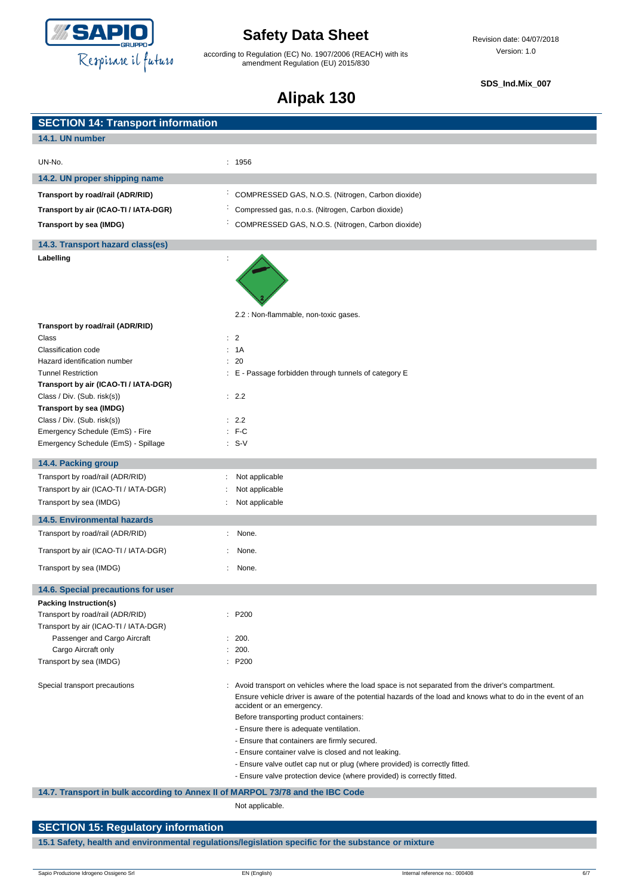

according to Regulation (EC) No. 1907/2006 (REACH) with its amendment Regulation (EU) 2015/830

Revision date: 04/07/2018 Version: 1.0

**SDS\_Ind.Mix\_007**

# **Alipak 130**

| <b>SECTION 14: Transport information</b>                                       |                                                                                                             |
|--------------------------------------------------------------------------------|-------------------------------------------------------------------------------------------------------------|
| 14.1. UN number                                                                |                                                                                                             |
|                                                                                |                                                                                                             |
| UN-No.                                                                         | : 1956                                                                                                      |
| 14.2. UN proper shipping name                                                  |                                                                                                             |
|                                                                                |                                                                                                             |
| Transport by road/rail (ADR/RID)                                               | COMPRESSED GAS, N.O.S. (Nitrogen, Carbon dioxide)                                                           |
| Transport by air (ICAO-TI / IATA-DGR)                                          | Compressed gas, n.o.s. (Nitrogen, Carbon dioxide)                                                           |
| Transport by sea (IMDG)                                                        | COMPRESSED GAS, N.O.S. (Nitrogen, Carbon dioxide)                                                           |
| 14.3. Transport hazard class(es)                                               |                                                                                                             |
| Labelling                                                                      |                                                                                                             |
|                                                                                |                                                                                                             |
|                                                                                |                                                                                                             |
|                                                                                |                                                                                                             |
|                                                                                |                                                                                                             |
|                                                                                | 2.2 : Non-flammable, non-toxic gases.                                                                       |
| Transport by road/rail (ADR/RID)                                               |                                                                                                             |
| Class<br>Classification code                                                   | : 2<br>: 1A                                                                                                 |
| Hazard identification number                                                   | -20                                                                                                         |
| <b>Tunnel Restriction</b>                                                      | E - Passage forbidden through tunnels of category E                                                         |
| Transport by air (ICAO-TI / IATA-DGR)                                          |                                                                                                             |
| Class / Div. (Sub. risk(s))                                                    | : 2.2                                                                                                       |
| Transport by sea (IMDG)                                                        |                                                                                                             |
| Class / Div. (Sub. risk(s))                                                    | $\therefore$ 2.2                                                                                            |
| Emergency Schedule (EmS) - Fire                                                | $:$ F-C                                                                                                     |
| Emergency Schedule (EmS) - Spillage                                            | $: S-V$                                                                                                     |
| 14.4. Packing group                                                            |                                                                                                             |
| Transport by road/rail (ADR/RID)                                               | Not applicable<br>÷                                                                                         |
| Transport by air (ICAO-TI / IATA-DGR)                                          | Not applicable                                                                                              |
| Transport by sea (IMDG)                                                        | Not applicable                                                                                              |
|                                                                                |                                                                                                             |
| <b>14.5. Environmental hazards</b>                                             |                                                                                                             |
| Transport by road/rail (ADR/RID)                                               | None.                                                                                                       |
| Transport by air (ICAO-TI / IATA-DGR)                                          | None.                                                                                                       |
| Transport by sea (IMDG)                                                        | None.                                                                                                       |
|                                                                                |                                                                                                             |
| 14.6. Special precautions for user                                             |                                                                                                             |
| Packing Instruction(s)                                                         |                                                                                                             |
| Transport by road/rail (ADR/RID)                                               | : P200                                                                                                      |
| Transport by air (ICAO-TI / IATA-DGR)                                          |                                                                                                             |
| Passenger and Cargo Aircraft<br>Cargo Aircraft only                            | : 200.<br>: 200.                                                                                            |
| Transport by sea (IMDG)                                                        | : P200                                                                                                      |
|                                                                                |                                                                                                             |
| Special transport precautions                                                  | : Avoid transport on vehicles where the load space is not separated from the driver's compartment.          |
|                                                                                | Ensure vehicle driver is aware of the potential hazards of the load and knows what to do in the event of an |
|                                                                                | accident or an emergency.                                                                                   |
|                                                                                | Before transporting product containers:                                                                     |
|                                                                                | - Ensure there is adequate ventilation.<br>- Ensure that containers are firmly secured.                     |
|                                                                                | - Ensure container valve is closed and not leaking.                                                         |
|                                                                                | - Ensure valve outlet cap nut or plug (where provided) is correctly fitted.                                 |
|                                                                                | - Ensure valve protection device (where provided) is correctly fitted.                                      |
| 14.7. Transport in bulk according to Annex II of MARPOL 73/78 and the IBC Code |                                                                                                             |
|                                                                                |                                                                                                             |
|                                                                                | Not applicable.                                                                                             |

### **SECTION 15: Regulatory information 15.1 Safety, health and environmental regulations/legislation specific for the substance or mixture**